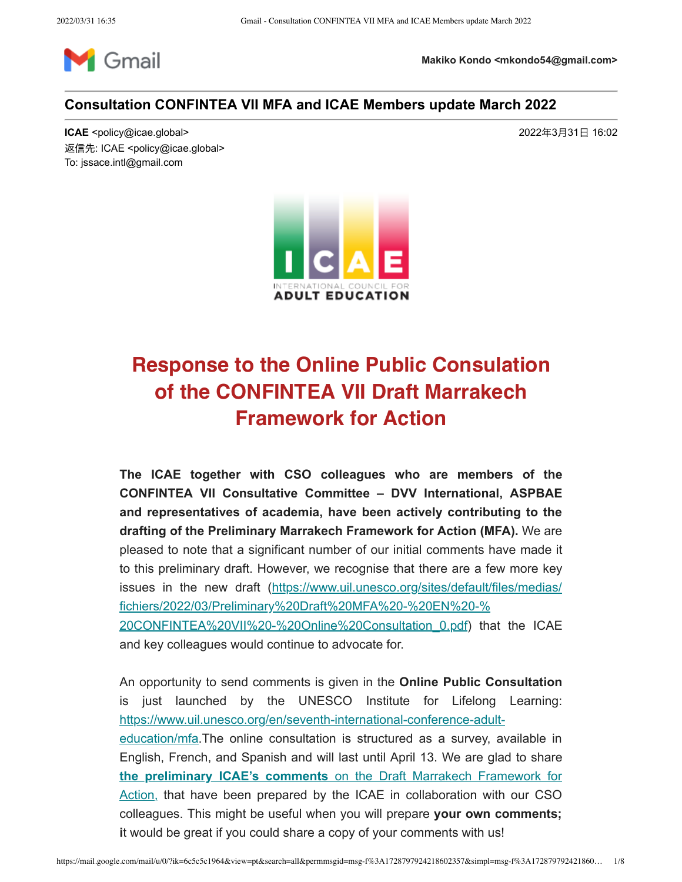

**Makiko Kondo <mkondo54@gmail.com>**

#### **Consultation CONFINTEA VII MFA and ICAE Members update March 2022**

**ICAE** <policy@icae.global> 2022年3月31日 16:02 返信先: ICAE <policy@icae.global> To: jssace.intl@gmail.com



# Response to the Online Public Consulation of the CONFINTEA VII Draft Marrakech Framework for Action

**The ICAE together with CSO colleagues who are members of the CONFINTEA VII Consultative Committee – DVV International, ASPBAE and representatives of academia, have been actively contributing to the drafting of the Preliminary Marrakech Framework for Action (MFA).** We are pleased to note that a significant number of our initial comments have made it to this preliminary draft. However, we recognise that there are a few more key issues in the new draft (https://www.uil.unesco.org/sites/default/files/medias/ fichiers/2022/03/Preliminary%20Draft%20MFA%20-%20EN%20-% 20CONFINTEA%20VII%20-%20Online%20Consultation\_0.pdf) that the ICAE and key colleagues would continue to advocate for.

An opportunity to send comments is given in the **Online Public Consultation** is just launched by the UNESCO Institute for Lifelong Learning: https://www.uil.unesco.org/en/seventh-international-conference-adulteducation/mfa.The online consultation is structured as a survey, available in English, French, and Spanish and will last until April 13. We are glad to share **the preliminary ICAE's comments** on the Draft Marrakech Framework for Action, that have been prepared by the ICAE in collaboration with our CSO colleagues. This might be useful when you will prepare **your own comments; i**t would be great if you could share a copy of your comments with us!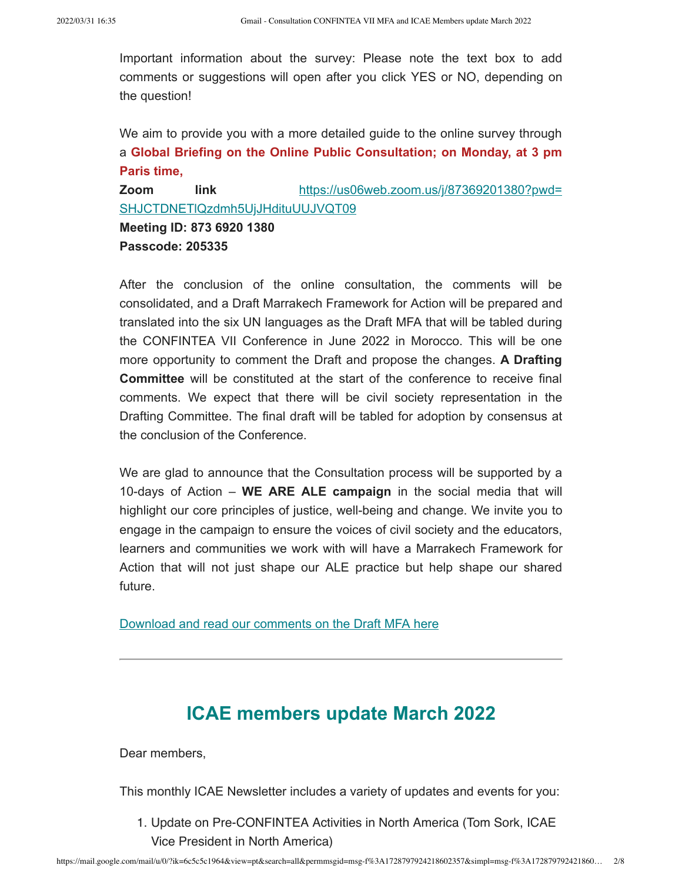Important information about the survey: Please note the text box to add comments or suggestions will open after you click YES or NO, depending on the question!

We aim to provide you with a more detailed guide to the online survey through a **Global Briefing on the Online Public Consultation; on Monday, at 3 pm Paris time,** 

**Zoom link** https://us06web.zoom.us/j/87369201380?pwd= SHJCTDNETlQzdmh5UjJHdituUUJVQT09 **Meeting ID: 873 6920 1380**

**Passcode: 205335**

After the conclusion of the online consultation, the comments will be consolidated, and a Draft Marrakech Framework for Action will be prepared and translated into the six UN languages as the Draft MFA that will be tabled during the CONFINTEA VII Conference in June 2022 in Morocco. This will be one more opportunity to comment the Draft and propose the changes. **A Drafting Committee** will be constituted at the start of the conference to receive final comments. We expect that there will be civil society representation in the Drafting Committee. The final draft will be tabled for adoption by consensus at the conclusion of the Conference.

We are glad to announce that the Consultation process will be supported by a 10-days of Action – **WE ARE ALE campaign** in the social media that will highlight our core principles of justice, well-being and change. We invite you to engage in the campaign to ensure the voices of civil society and the educators, learners and communities we work with will have a Marrakech Framework for Action that will not just shape our ALE practice but help shape our shared future.

Download and read our comments on the Draft MFA here

#### **ICAE members update March 2022**

Dear members,

This monthly ICAE Newsletter includes a variety of updates and events for you:

1. Update on Pre-CONFINTEA Activities in North America (Tom Sork, ICAE Vice President in North America)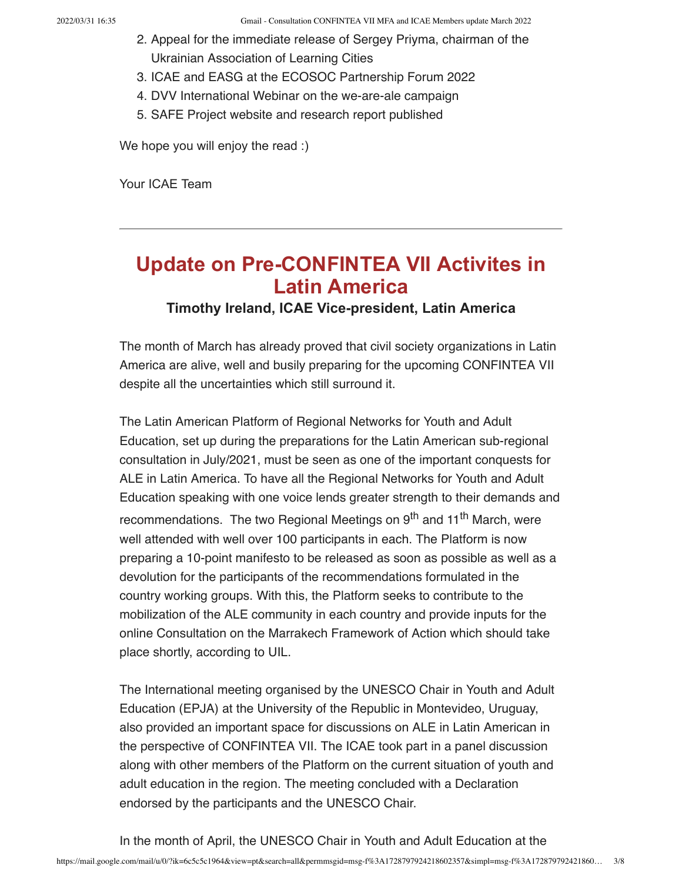- 2. Appeal for the immediate release of Sergey Priyma, chairman of the Ukrainian Association of Learning Cities
- 3. ICAE and EASG at the ECOSOC Partnership Forum 2022
- 4. DVV International Webinar on the we-are-ale campaign
- 5. SAFE Project website and research report published

We hope you will enjoy the read :)

Your ICAE Team

## **Update on Pre-CONFINTEA VII Activites in Latin America**

#### **Timothy Ireland, ICAE Vice-president, Latin America**

The month of March has already proved that civil society organizations in Latin America are alive, well and busily preparing for the upcoming CONFINTEA VII despite all the uncertainties which still surround it.

The Latin American Platform of Regional Networks for Youth and Adult Education, set up during the preparations for the Latin American sub-regional consultation in July/2021, must be seen as one of the important conquests for ALE in Latin America. To have all the Regional Networks for Youth and Adult Education speaking with one voice lends greater strength to their demands and recommendations. The two Regional Meetings on 9<sup>th</sup> and 11<sup>th</sup> March, were well attended with well over 100 participants in each. The Platform is now preparing a 10-point manifesto to be released as soon as possible as well as a devolution for the participants of the recommendations formulated in the country working groups. With this, the Platform seeks to contribute to the mobilization of the ALE community in each country and provide inputs for the online Consultation on the Marrakech Framework of Action which should take place shortly, according to UIL.

The International meeting organised by the UNESCO Chair in Youth and Adult Education (EPJA) at the University of the Republic in Montevideo, Uruguay, also provided an important space for discussions on ALE in Latin American in the perspective of CONFINTEA VII. The ICAE took part in a panel discussion along with other members of the Platform on the current situation of youth and adult education in the region. The meeting concluded with a Declaration endorsed by the participants and the UNESCO Chair.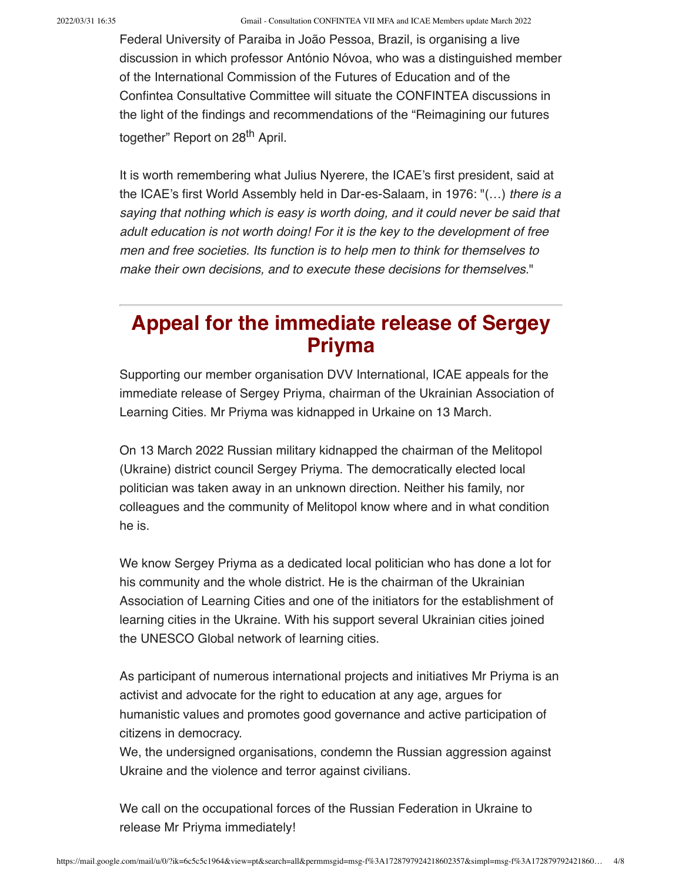2022/03/31 16:35 Gmail - Consultation CONFINTEA VII MFA and ICAE Members update March 2022

Federal University of Paraiba in João Pessoa, Brazil, is organising a live discussion in which professor António Nóvoa, who was a distinguished member of the International Commission of the Futures of Education and of the Confintea Consultative Committee will situate the CONFINTEA discussions in the light of the findings and recommendations of the "Reimagining our futures together" Report on 28<sup>th</sup> April.

It is worth remembering what Julius Nyerere, the ICAE's first president, said at the ICAE's first World Assembly held in Dar-es-Salaam, in 1976:  $\mathcal{F}(\ldots)$  there is a saying that nothing which is easy is worth doing, and it could never be said that adult education is not worth doing! For it is the key to the development of free men and free societies. Its function is to help men to think for themselves to make their own decisions, and to execute these decisions for themselves."

### Appeal for the immediate release of Sergey Priyma

Supporting our member organisation DVV International, ICAE appeals for the immediate release of Sergey Priyma, chairman of the Ukrainian Association of Learning Cities. Mr Priyma was kidnapped in Urkaine on 13 March.

On 13 March 2022 Russian military kidnapped the chairman of the Melitopol (Ukraine) district council Sergey Priyma. The democratically elected local politician was taken away in an unknown direction. Neither his family, nor colleagues and the community of Melitopol know where and in what condition he is.

We know Sergey Priyma as a dedicated local politician who has done a lot for his community and the whole district. He is the chairman of the Ukrainian Association of Learning Cities and one of the initiators for the establishment of learning cities in the Ukraine. With his support several Ukrainian cities joined the UNESCO Global network of learning cities.

As participant of numerous international projects and initiatives Mr Priyma is an activist and advocate for the right to education at any age, argues for humanistic values and promotes good governance and active participation of citizens in democracy.

We, the undersigned organisations, condemn the Russian aggression against Ukraine and the violence and terror against civilians.

We call on the occupational forces of the Russian Federation in Ukraine to release Mr Priyma immediately!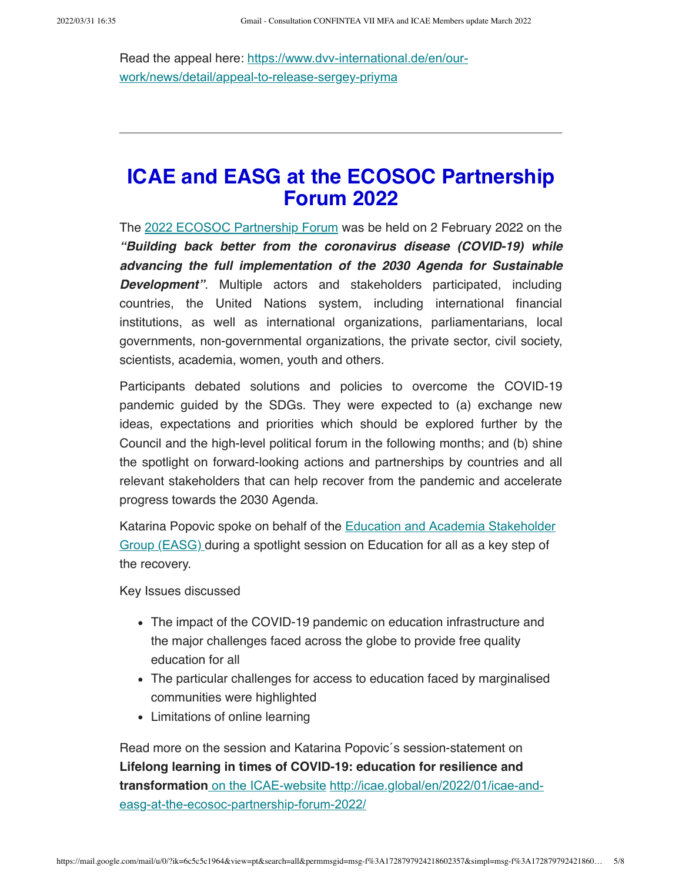Read the appeal here: https://www.dvv-international.de/en/ourwork/news/detail/appeal-to-release-sergey-priyma

### ICAE and EASG at the ECOSOC Partnership Forum 2022

The 2022 ECOSOC Partnership Forum was be held on 2 February 2022 on the "Building back better from the coronavirus disease (COVID-19) while advancing the full implementation of the 2030 Agenda for Sustainable **Development".** Multiple actors and stakeholders participated, including countries, the United Nations system, including international financial institutions, as well as international organizations, parliamentarians, local governments, non-governmental organizations, the private sector, civil society, scientists, academia, women, youth and others.

Participants debated solutions and policies to overcome the COVID-19 pandemic guided by the SDGs. They were expected to (a) exchange new ideas, expectations and priorities which should be explored further by the Council and the high-level political forum in the following months; and (b) shine the spotlight on forward-looking actions and partnerships by countries and all relevant stakeholders that can help recover from the pandemic and accelerate progress towards the 2030 Agenda.

Katarina Popovic spoke on behalf of the Education and Academia Stakeholder Group (EASG) during a spotlight session on Education for all as a key step of the recovery.

Key Issues discussed

- The impact of the COVID-19 pandemic on education infrastructure and the major challenges faced across the globe to provide free quality education for all
- The particular challenges for access to education faced by marginalised communities were highlighted
- Limitations of online learning

Read more on the session and Katarina Popovic´s session-statement on Lifelong learning in times of COVID-19: education for resilience and transformation on the ICAE-website http://icae.global/en/2022/01/icae-andeasg-at-the-ecosoc-partnership-forum-2022/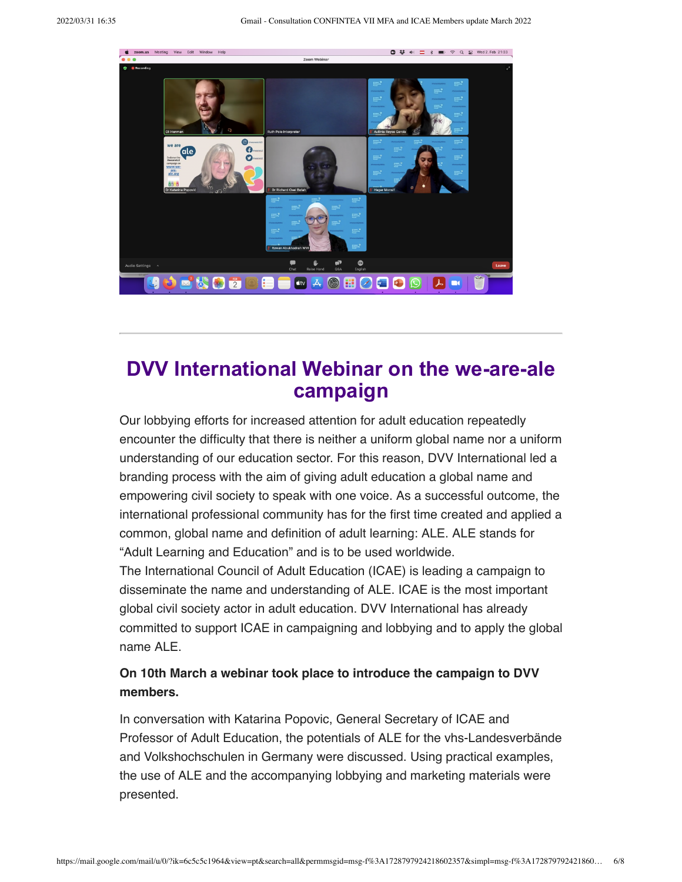

### **DVV International Webinar on the we-are-ale campaign**

Our lobbying efforts for increased attention for adult education repeatedly encounter the difficulty that there is neither a uniform global name nor a uniform understanding of our education sector. For this reason, DVV International led a branding process with the aim of giving adult education a global name and empowering civil society to speak with one voice. As a successful outcome, the international professional community has for the first time created and applied a common, global name and definition of adult learning: ALE. ALE stands for "Adult Learning and Education" and is to be used worldwide.

The International Council of Adult Education (ICAE) is leading a campaign to disseminate the name and understanding of ALE. ICAE is the most important global civil society actor in adult education. DVV International has already committed to support ICAE in campaigning and lobbying and to apply the global name ALE.

#### On 10th March a webinar took place to introduce the campaign to DVV members.

In conversation with Katarina Popovic, General Secretary of ICAE and Professor of Adult Education, the potentials of ALE for the vhs-Landesverbände and Volkshochschulen in Germany were discussed. Using practical examples, the use of ALE and the accompanying lobbying and marketing materials were presented.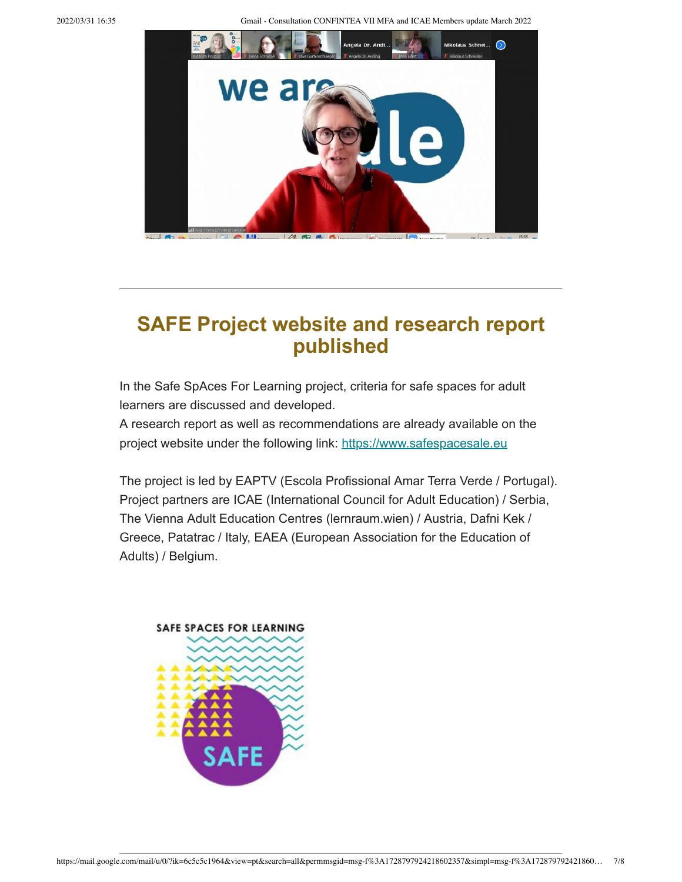2022/03/31 16:35 Gmail - Consultation CONFINTEA VII MFA and ICAE Members update March 2022



### **SAFE Project website and research report published**

In the Safe SpAces For Learning project, criteria for safe spaces for adult learners are discussed and developed.

A research report as well as recommendations are already available on the project website under the following link: https://www.safespacesale.eu

The project is led by EAPTV (Escola Profissional Amar Terra Verde / Portugal). Project partners are ICAE (International Council for Adult Education) / Serbia, The Vienna Adult Education Centres (lernraum.wien) / Austria, Dafni Kek / Greece, Patatrac / Italy, EAEA (European Association for the Education of Adults) / Belgium.